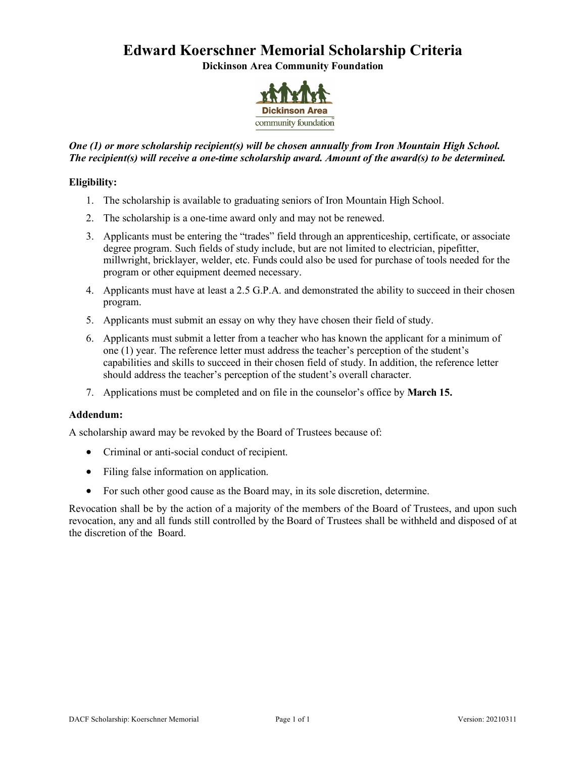# **Edward Koerschner Memorial Scholarship Criteria**

**Dickinson Area Community Foundation**



## *One (1) or more scholarship recipient(s) will be chosen annually from Iron Mountain High School. The recipient(s) will receive a one-time scholarship award. Amount of the award(s) to be determined.*

## **Eligibility:**

- 1. The scholarship is available to graduating seniors of Iron Mountain High School.
- 2. The scholarship is a one-time award only and may not be renewed.
- 3. Applicants must be entering the "trades" field through an apprenticeship, certificate, or associate degree program. Such fields of study include, but are not limited to electrician, pipefitter, millwright, bricklayer, welder, etc. Funds could also be used for purchase of tools needed for the program or other equipment deemed necessary.
- 4. Applicants must have at least a 2.5 G.P.A. and demonstrated the ability to succeed in their chosen program.
- 5. Applicants must submit an essay on why they have chosen their field of study.
- 6. Applicants must submit a letter from a teacher who has known the applicant for a minimum of one (1) year. The reference letter must address the teacher's perception of the student's capabilities and skills to succeed in their chosen field of study. In addition, the reference letter should address the teacher's perception of the student's overall character.
- 7. Applications must be completed and on file in the counselor's office by **March 15.**

## **Addendum:**

A scholarship award may be revoked by the Board of Trustees because of:

- Criminal or anti-social conduct of recipient.
- Filing false information on application.
- For such other good cause as the Board may, in its sole discretion, determine.

Revocation shall be by the action of a majority of the members of the Board of Trustees, and upon such revocation, any and all funds still controlled by the Board of Trustees shall be withheld and disposed of at the discretion of the Board.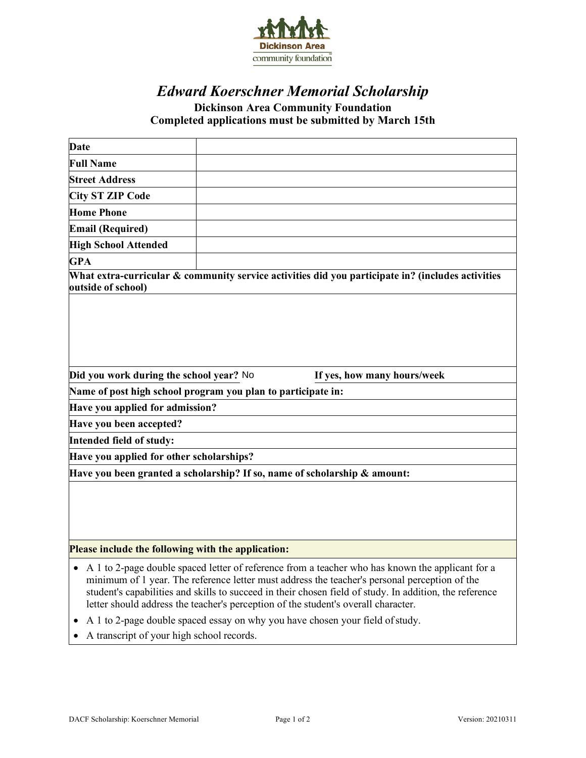

## *Edward Koerschner Memorial Scholarship* **Dickinson Area Community Foundation Completed applications must be submitted by March 15th**

| Date                                                                      |  |  |                                                                                                   |
|---------------------------------------------------------------------------|--|--|---------------------------------------------------------------------------------------------------|
| <b>Full Name</b>                                                          |  |  |                                                                                                   |
| <b>Street Address</b>                                                     |  |  |                                                                                                   |
| <b>City ST ZIP Code</b>                                                   |  |  |                                                                                                   |
| <b>Home Phone</b>                                                         |  |  |                                                                                                   |
| <b>Email (Required)</b>                                                   |  |  |                                                                                                   |
| <b>High School Attended</b>                                               |  |  |                                                                                                   |
| <b>GPA</b>                                                                |  |  |                                                                                                   |
| outside of school)                                                        |  |  | What extra-curricular & community service activities did you participate in? (includes activities |
| Did you work during the school year? No<br>If yes, how many hours/week    |  |  |                                                                                                   |
| Name of post high school program you plan to participate in:              |  |  |                                                                                                   |
| Have you applied for admission?                                           |  |  |                                                                                                   |
| Have you been accepted?                                                   |  |  |                                                                                                   |
| Intended field of study:                                                  |  |  |                                                                                                   |
| Have you applied for other scholarships?                                  |  |  |                                                                                                   |
| Have you been granted a scholarship? If so, name of scholarship & amount: |  |  |                                                                                                   |
|                                                                           |  |  |                                                                                                   |
|                                                                           |  |  |                                                                                                   |
|                                                                           |  |  |                                                                                                   |
| Please include the following with the application:                        |  |  |                                                                                                   |
|                                                                           |  |  |                                                                                                   |

- A 1 to 2-page double spaced letter of reference from a teacher who has known the applicant for a minimum of 1 year. The reference letter must address the teacher's personal perception of the student's capabilities and skills to succeed in their chosen field of study. In addition, the reference letter should address the teacher's perception of the student's overall character.
- A 1 to 2-page double spaced essay on why you have chosen your field ofstudy.
- A transcript of your high school records.